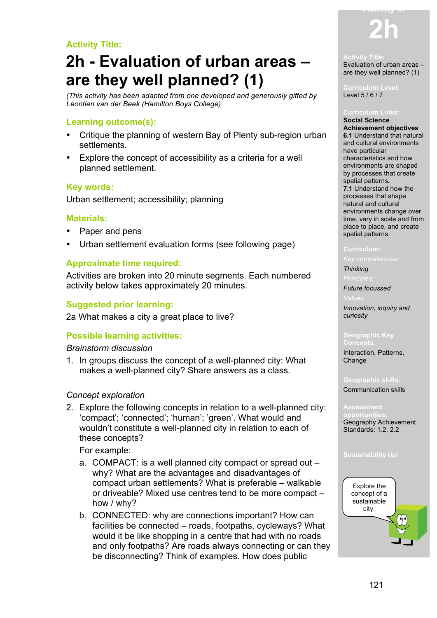## **Activity Title:**

# **2h - Evaluation of urban areas – are they well planned? (1)**

*(This activity has been adapted from one developed and generously gifted by Leontien van der Beek (Hamilton Boys College)*

### **Learning outcome(s):**

- Critique the planning of western Bay of Plenty sub-region urban settlements.
- Explore the concept of accessibility as a criteria for a well planned settlement.

### **Key words:**

Urban settlement; accessibility; planning

### **Materials:**

- Paper and pens
- Urban settlement evaluation forms (see following page)

### **Approximate time required:**

Activities are broken into 20 minute segments. Each numbered activity below takes approximately 20 minutes.

### **Suggested prior learning:**

2a What makes a city a great place to live?

### **Possible learning activities:**

### *Brainstorm discussion*

1. In groups discuss the concept of a well-planned city: What makes a well-planned city? Share answers as a class.

### *Concept exploration*

2. Explore the following concepts in relation to a well-planned city: 'compact'; 'connected'; 'human'; 'green'. What would and wouldn't constitute a well-planned city in relation to each of these concepts?

For example:

- a. COMPACT: is a well planned city compact or spread out why? What are the advantages and disadvantages of compact urban settlements? What is preferable – walkable or driveable? Mixed use centres tend to be more compact – how / why?
- b. CONNECTED: why are connections important? How can facilities be connected – roads, footpaths, cycleways? What would it be like shopping in a centre that had with no roads and only footpaths? Are roads always connecting or can they be disconnecting? Think of examples. How does public



### **Activity Title:**

Evaluation of urban areas – are they well planned? (1)

### **Curriculum Level:** Level 5 / 6 / 7

#### **Curriculum Links:**

**Social Science Achievement objectives 6.1** Understand that natural and cultural environments have particular characteristics and how environments are shaped by processes that create spatial patterns**. 7.1** Understand how the processes that shape natural and cultural environments change over time, vary in scale and from place to place, and create spatial patterns.

*Thinking*

*Future focussed*

*Innovation, inquiry and curiosity*

### **Geographic Key**

**Concepts:** Interaction, Patterns, Change

### **Geographic skills:**

Communication skills

**opportunities:** Geography Achievement Standards: 1.2, 2.2

### **Sustainability tip!**